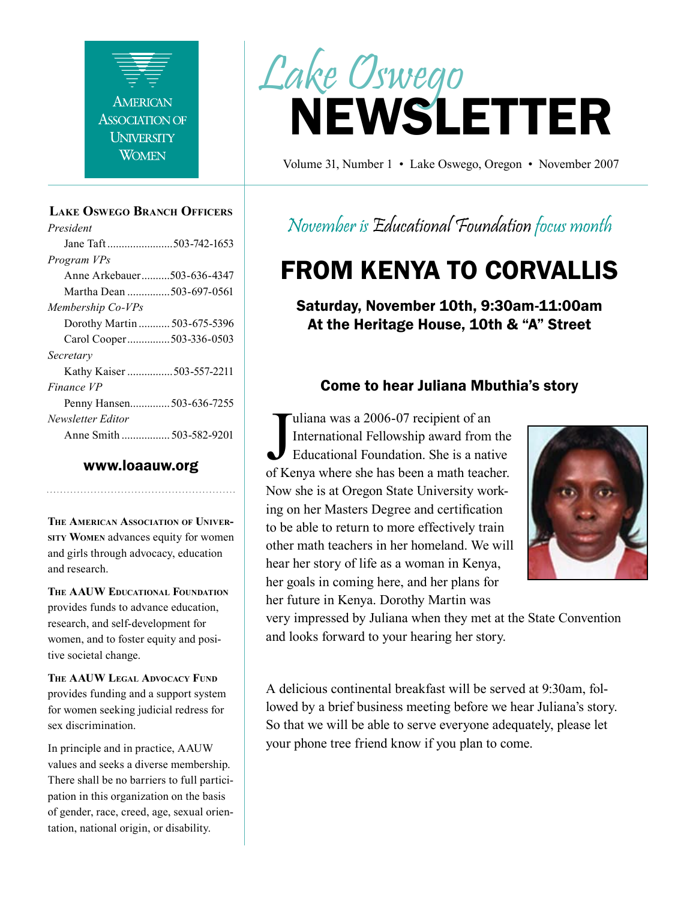

#### **Lake Oswego Branch Officers**

*President* Jane Taft .......................503-742-1653 *Program VPs* Anne Arkebauer..........503-636-4347 Martha Dean ...............503-697-0561 *Membership Co-VPs* Dorothy Martin ........... 503-675-5396 Carol Cooper...............503-336-0503 *Secretary* Kathy Kaiser ................503-557-2211 *Finance VP* Penny Hansen..............503-636-7255 *Newsletter Editor* Anne Smith ................. 503-582-9201

#### www.loaauw.org

**The American Association of University Women** advances equity for women and girls through advocacy, education and research.

**The AAUW Educational Foundation** provides funds to advance education, research, and self-development for women, and to foster equity and positive societal change.

**The AAUW Legal Advocacy Fund** provides funding and a support system for women seeking judicial redress for sex discrimination.

In principle and in practice, AAUW values and seeks a diverse membership. There shall be no barriers to full participation in this organization on the basis of gender, race, creed, age, sexual orientation, national origin, or disability.



Volume 31, Number 1 • Lake Oswego, Oregon • November 2007

### November is Educational Foundation focus month

# FROM KENYA TO CORVALLIS

Saturday, November 10th, 9:30am-11:00am At the Heritage House, 10th & "A" Street

#### Come to hear Juliana Mbuthia's story

International Fellowship award from the<br>
Educational Foundation. She is a native<br>
of Kenya where she has been a math teacher. uliana was a 2006-07 recipient of an International Fellowship award from the Educational Foundation. She is a native Now she is at Oregon State University working on her Masters Degree and certification to be able to return to more effectively train other math teachers in her homeland. We will hear her story of life as a woman in Kenya, her goals in coming here, and her plans for her future in Kenya. Dorothy Martin was



very impressed by Juliana when they met at the State Convention and looks forward to your hearing her story.

A delicious continental breakfast will be served at 9:30am, followed by a brief business meeting before we hear Juliana's story. So that we will be able to serve everyone adequately, please let your phone tree friend know if you plan to come.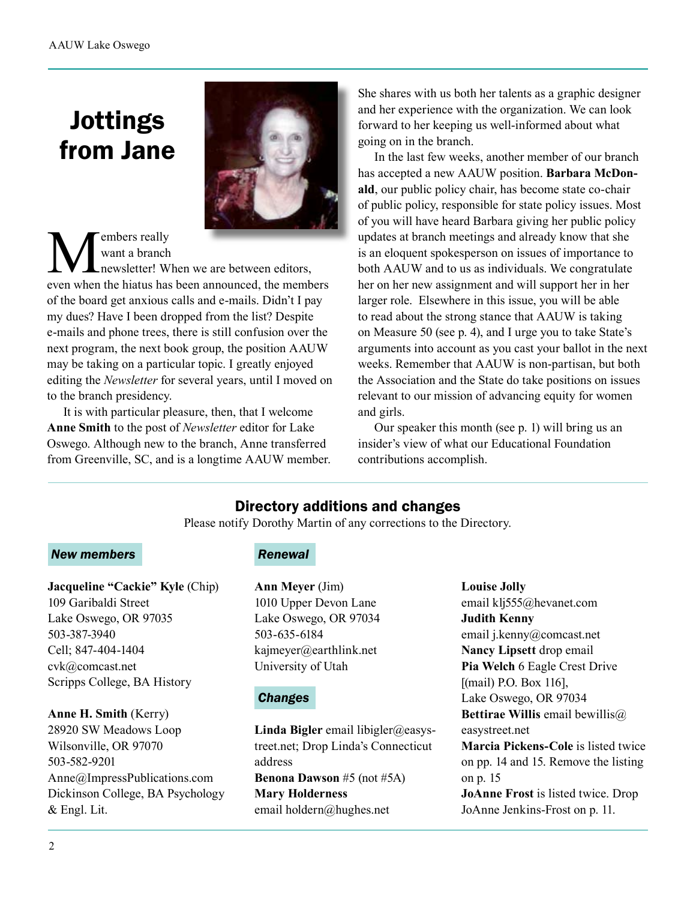# Jottings from Jane



#### **W** want a branch<br>
newsletter! When we are between editors,<br>
even when the hiatus has been announced, the members want a branch newsletter! When we are between editors, of the board get anxious calls and e-mails. Didn't I pay my dues? Have I been dropped from the list? Despite e-mails and phone trees, there is still confusion over the next program, the next book group, the position AAUW may be taking on a particular topic. I greatly enjoyed editing the *Newsletter* for several years, until I moved on to the branch presidency.

It is with particular pleasure, then, that I welcome **Anne Smith** to the post of *Newsletter* editor for Lake Oswego. Although new to the branch, Anne transferred from Greenville, SC, and is a longtime AAUW member. She shares with us both her talents as a graphic designer and her experience with the organization. We can look forward to her keeping us well-informed about what going on in the branch.

In the last few weeks, another member of our branch has accepted a new AAUW position. **Barbara McDonald**, our public policy chair, has become state co-chair of public policy, responsible for state policy issues. Most of you will have heard Barbara giving her public policy updates at branch meetings and already know that she is an eloquent spokesperson on issues of importance to both AAUW and to us as individuals. We congratulate her on her new assignment and will support her in her larger role. Elsewhere in this issue, you will be able to read about the strong stance that AAUW is taking on Measure 50 (see p. 4), and I urge you to take State's arguments into account as you cast your ballot in the next weeks. Remember that AAUW is non-partisan, but both the Association and the State do take positions on issues relevant to our mission of advancing equity for women and girls.

Our speaker this month (see p. 1) will bring us an insider's view of what our Educational Foundation contributions accomplish.

### Directory additions and changes

Please notify Dorothy Martin of any corrections to the Directory.

#### *New members*

**Jacqueline "Cackie" Kyle** (Chip) 109 Garibaldi Street Lake Oswego, OR 97035 503-387-3940 Cell; 847-404-1404 cvk@comcast.net Scripps College, BA History

**Anne H. Smith** (Kerry) 28920 SW Meadows Loop Wilsonville, OR 97070 503-582-9201 Anne@ImpressPublications.com Dickinson College, BA Psychology & Engl. Lit.

#### **Renewal**

**Ann Meyer** (Jim) 1010 Upper Devon Lane Lake Oswego, OR 97034 503-635-6184 kajmeyer@earthlink.net University of Utah

#### *Changes*

**Linda Bigler** email libigler@easystreet.net; Drop Linda's Connecticut address **Benona Dawson** #5 (not #5A) **Mary Holderness** email holdern@hughes.net

#### **Louise Jolly**

email klj555@hevanet.com **Judith Kenny** email j.kenny@comcast.net **Nancy Lipsett** drop email **Pia Welch** 6 Eagle Crest Drive [(mail) P.O. Box 116], Lake Oswego, OR 97034 **Bettirae Willis** email bewillis@ easystreet.net **Marcia Pickens-Cole** is listed twice on pp. 14 and 15. Remove the listing on p. 15 **JoAnne Frost** is listed twice. Drop JoAnne Jenkins-Frost on p. 11.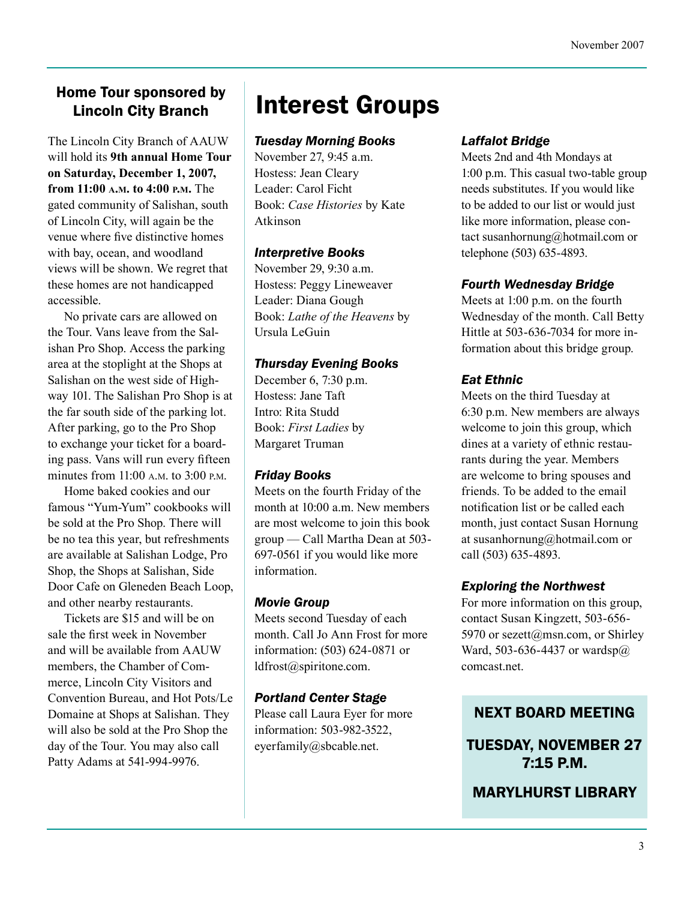#### Home Tour sponsored by Lincoln City Branch

The Lincoln City Branch of AAUW will hold its **9th annual Home Tour on Saturday, December 1, 2007, from 11:00 a.m. to 4:00 p.m.** The gated community of Salishan, south of Lincoln City, will again be the venue where five distinctive homes with bay, ocean, and woodland views will be shown. We regret that these homes are not handicapped accessible.

No private cars are allowed on the Tour. Vans leave from the Salishan Pro Shop. Access the parking area at the stoplight at the Shops at Salishan on the west side of Highway 101. The Salishan Pro Shop is at the far south side of the parking lot. After parking, go to the Pro Shop to exchange your ticket for a boarding pass. Vans will run every fifteen minutes from 11:00 a.m. to 3:00 p.m.

Home baked cookies and our famous "Yum-Yum" cookbooks will be sold at the Pro Shop. There will be no tea this year, but refreshments are available at Salishan Lodge, Pro Shop, the Shops at Salishan, Side Door Cafe on Gleneden Beach Loop, and other nearby restaurants.

Tickets are \$15 and will be on sale the first week in November and will be available from AAUW members, the Chamber of Commerce, Lincoln City Visitors and Convention Bureau, and Hot Pots/Le Domaine at Shops at Salishan. They will also be sold at the Pro Shop the day of the Tour. You may also call Patty Adams at 541-994-9976.

# Interest Groups

#### *Tuesday Morning Books*

November 27, 9:45 a.m. Hostess: Jean Cleary Leader: Carol Ficht Book: *Case Histories* by Kate Atkinson

#### *Interpretive Books*

November 29, 9:30 a.m. Hostess: Peggy Lineweaver Leader: Diana Gough Book: *Lathe of the Heavens* by Ursula LeGuin

#### *Thursday Evening Books*

December 6, 7:30 p.m. Hostess: Jane Taft Intro: Rita Studd Book: *First Ladies* by Margaret Truman

#### *Friday Books*

Meets on the fourth Friday of the month at 10:00 a.m. New members are most welcome to join this book group — Call Martha Dean at 503- 697-0561 if you would like more information.

#### *Movie Group*

Meets second Tuesday of each month. Call Jo Ann Frost for more information: (503) 624-0871 or ldfrost@spiritone.com.

#### *Portland Center Stage*

Please call Laura Eyer for more information: 503-982-3522, eyerfamily@sbcable.net.

#### *Laffalot Bridge*

Meets 2nd and 4th Mondays at 1:00 p.m. This casual two-table group needs substitutes. If you would like to be added to our list or would just like more information, please contact susanhornung@hotmail.com or telephone (503) 635-4893.

#### *Fourth Wednesday Bridge*

Meets at 1:00 p.m. on the fourth Wednesday of the month. Call Betty Hittle at 503-636-7034 for more information about this bridge group.

#### *Eat Ethnic*

Meets on the third Tuesday at 6:30 p.m. New members are always welcome to join this group, which dines at a variety of ethnic restaurants during the year. Members are welcome to bring spouses and friends. To be added to the email notification list or be called each month, just contact Susan Hornung at susanhornung@hotmail.com or call (503) 635-4893.

#### *Exploring the Northwest*

For more information on this group, contact Susan Kingzett, 503-656- 5970 or sezett@msn.com, or Shirley Ward, 503-636-4437 or wardsp@ comcast.net.

#### NEXT BOARD MEETING

TUESDAY, NOVEMBER 27 7:15 P.M.

MARYLHURST LIBRARY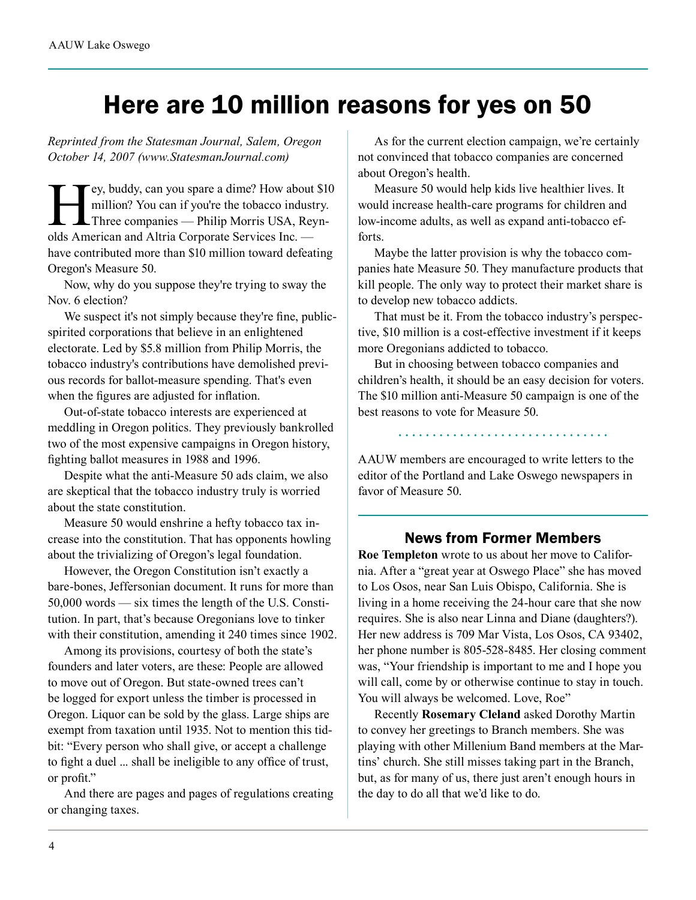## Here are 10 million reasons for yes on 50

*Reprinted from the Statesman Journal, Salem, Oregon October 14, 2007 (www.StatesmanJournal.com)*

Ey, buddy, can you spare a dime? How about \$10<br>million? You can if you're the tobacco industry.<br>Three companies — Philip Morris USA, Reyn-<br>olds American and Altria Cornorate Services Inc million? You can if you're the tobacco industry. Three companies — Philip Morris USA, Reynolds American and Altria Corporate Services Inc. have contributed more than \$10 million toward defeating Oregon's Measure 50.

Now, why do you suppose they're trying to sway the Nov. 6 election?

We suspect it's not simply because they're fine, publicspirited corporations that believe in an enlightened electorate. Led by \$5.8 million from Philip Morris, the tobacco industry's contributions have demolished previous records for ballot-measure spending. That's even when the figures are adjusted for inflation.

Out-of-state tobacco interests are experienced at meddling in Oregon politics. They previously bankrolled two of the most expensive campaigns in Oregon history, fighting ballot measures in 1988 and 1996.

Despite what the anti-Measure 50 ads claim, we also are skeptical that the tobacco industry truly is worried about the state constitution.

Measure 50 would enshrine a hefty tobacco tax increase into the constitution. That has opponents howling about the trivializing of Oregon's legal foundation.

However, the Oregon Constitution isn't exactly a bare-bones, Jeffersonian document. It runs for more than 50,000 words — six times the length of the U.S. Constitution. In part, that's because Oregonians love to tinker with their constitution, amending it 240 times since 1902.

Among its provisions, courtesy of both the state's founders and later voters, are these: People are allowed to move out of Oregon. But state-owned trees can't be logged for export unless the timber is processed in Oregon. Liquor can be sold by the glass. Large ships are exempt from taxation until 1935. Not to mention this tidbit: "Every person who shall give, or accept a challenge to fight a duel ... shall be ineligible to any office of trust, or profit."

And there are pages and pages of regulations creating or changing taxes.

As for the current election campaign, we're certainly not convinced that tobacco companies are concerned about Oregon's health.

Measure 50 would help kids live healthier lives. It would increase health-care programs for children and low-income adults, as well as expand anti-tobacco efforts.

Maybe the latter provision is why the tobacco companies hate Measure 50. They manufacture products that kill people. The only way to protect their market share is to develop new tobacco addicts.

That must be it. From the tobacco industry's perspective, \$10 million is a cost-effective investment if it keeps more Oregonians addicted to tobacco.

But in choosing between tobacco companies and children's health, it should be an easy decision for voters. The \$10 million anti-Measure 50 campaign is one of the best reasons to vote for Measure 50.

AAUW members are encouraged to write letters to the editor of the Portland and Lake Oswego newspapers in favor of Measure 50.

#### News from Former Members

**Roe Templeton** wrote to us about her move to California. After a "great year at Oswego Place" she has moved to Los Osos, near San Luis Obispo, California. She is living in a home receiving the 24-hour care that she now requires. She is also near Linna and Diane (daughters?). Her new address is 709 Mar Vista, Los Osos, CA 93402, her phone number is 805-528-8485. Her closing comment was, "Your friendship is important to me and I hope you will call, come by or otherwise continue to stay in touch. You will always be welcomed. Love, Roe"

Recently **Rosemary Cleland** asked Dorothy Martin to convey her greetings to Branch members. She was playing with other Millenium Band members at the Martins' church. She still misses taking part in the Branch, but, as for many of us, there just aren't enough hours in the day to do all that we'd like to do.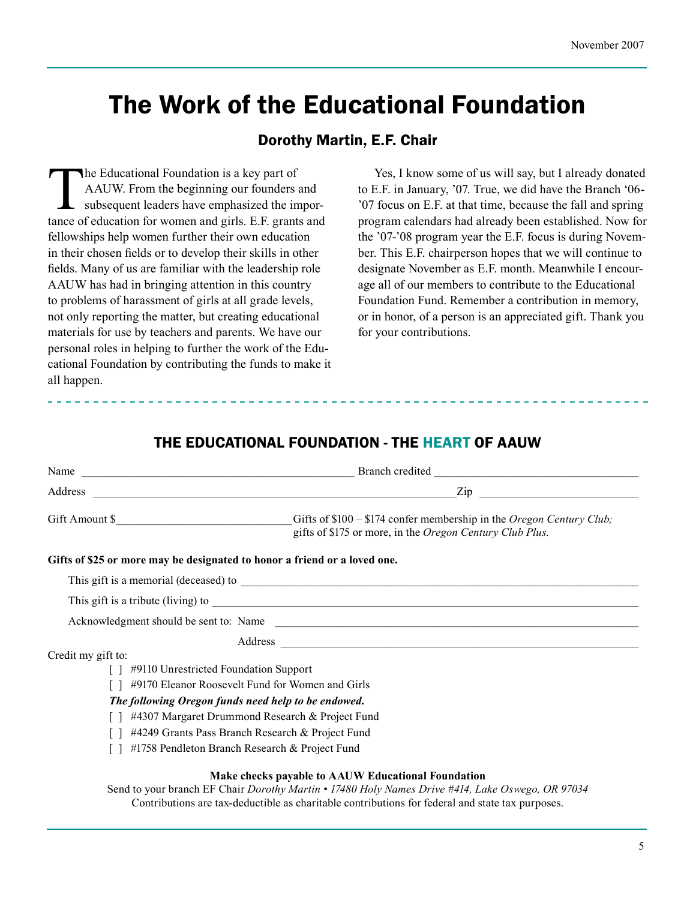# The Work of the Educational Foundation

#### Dorothy Martin, E.F. Chair

The Educational Foundation is a key part of<br>AAUW. From the beginning our founders is<br>subsequent leaders have emphasized the intance of education for women and girls. E.F. grant AAUW. From the beginning our founders and subsequent leaders have emphasized the importance of education for women and girls. E.F. grants and fellowships help women further their own education in their chosen fields or to develop their skills in other fields. Many of us are familiar with the leadership role AAUW has had in bringing attention in this country to problems of harassment of girls at all grade levels, not only reporting the matter, but creating educational materials for use by teachers and parents. We have our personal roles in helping to further the work of the Educational Foundation by contributing the funds to make it all happen.

Yes, I know some of us will say, but I already donated to E.F. in January, '07. True, we did have the Branch '06- '07 focus on E.F. at that time, because the fall and spring program calendars had already been established. Now for the '07-'08 program year the E.F. focus is during November. This E.F. chairperson hopes that we will continue to designate November as E.F. month. Meanwhile I encourage all of our members to contribute to the Educational Foundation Fund. Remember a contribution in memory, or in honor, of a person is an appreciated gift. Thank you for your contributions.

#### THE EDUCATIONAL FOUNDATION - THE HEART OF AAUW

|                                       | Gift Amount \$<br>Gifts of $$100 - $174$ confer membership in the <i>Oregon Century Club</i> ;<br>gifts of \$175 or more, in the Oregon Century Club Plus.                                                                     |  |  |  |  |  |  |
|---------------------------------------|--------------------------------------------------------------------------------------------------------------------------------------------------------------------------------------------------------------------------------|--|--|--|--|--|--|
|                                       | Gifts of \$25 or more may be designated to honor a friend or a loved one.                                                                                                                                                      |  |  |  |  |  |  |
|                                       |                                                                                                                                                                                                                                |  |  |  |  |  |  |
|                                       |                                                                                                                                                                                                                                |  |  |  |  |  |  |
|                                       | Acknowledgment should be sent to: Name                                                                                                                                                                                         |  |  |  |  |  |  |
|                                       | Address and the contract of the contract of the contract of the contract of the contract of the contract of the contract of the contract of the contract of the contract of the contract of the contract of the contract of th |  |  |  |  |  |  |
| Credit my gift to:                    |                                                                                                                                                                                                                                |  |  |  |  |  |  |
| #9110 Unrestricted Foundation Support |                                                                                                                                                                                                                                |  |  |  |  |  |  |
|                                       | #9170 Eleanor Roosevelt Fund for Women and Girls                                                                                                                                                                               |  |  |  |  |  |  |
|                                       | The following Oregon funds need help to be endowed.                                                                                                                                                                            |  |  |  |  |  |  |
|                                       | #4307 Margaret Drummond Research & Project Fund                                                                                                                                                                                |  |  |  |  |  |  |
|                                       | #4249 Grants Pass Branch Research & Project Fund                                                                                                                                                                               |  |  |  |  |  |  |
|                                       | #1758 Pendleton Branch Research & Project Fund                                                                                                                                                                                 |  |  |  |  |  |  |
|                                       | Make checks payable to AAUW Educational Foundation                                                                                                                                                                             |  |  |  |  |  |  |

Send to your branch EF Chair *Dorothy Martin • 17480 Holy Names Drive #414, Lake Oswego, OR 97034* Contributions are tax-deductible as charitable contributions for federal and state tax purposes.